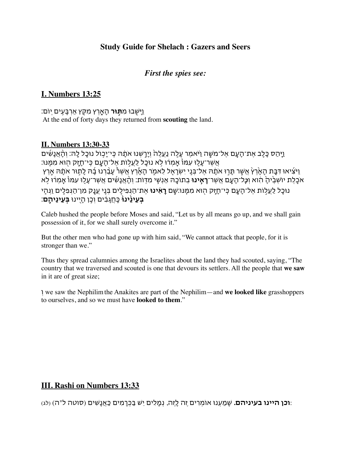### **Study Guide for Shelach : Gazers and Seers**

#### *First the spies see:*

### **I. Numbers 13:25**

וַיָשֻ֖בו מִ**ת֣ור** הָאָ֑רץ מִקֵ֖ץ אַרבָעִ֥ים יֽום׃ At the end of forty days they returned from **scouting** the land.

#### **II. Numbers 13:30-33**

ַיַּהַס כָּלֶב אֶת־הָעָם אֶל־מֹשֶׁה וַיֹּאמֶר עָלֶה נַעֲלֶה וְיָרָשְנוּ אֹתָדְהּ כִּי־יָכְוֹל נוּכָל לָה׃ וְהָאֲנָשִׁים ּאֲשֶר־עָלַוּ עִמּוْ אֲמְרוּ לֹא נוּכַל לַעֲלִוֹת אֶל־הֲעָם כִּי־חַזַק הִוּא מִמֶּנּוּ: ויֹצִיאוּ דִּבַּת הָאִ<sup>ׂ</sup>רץ אִשֶׁר תַּרוּ אֹתָה אַל־בֵּנֵי יִשְראַל לַאמֹר הַאֶרץ אַשַׁר עַבְּרְנוּ בָה לַתוּר אֹתָה אַרץ אֹכֶ֤לֶת יושְבֶ֙יהָ֙ הִ֔וא וְ*כׇ*ל־הָעָ֛ם אֲשֶר־**ראִ֥ינו** בְתוכָ֖ה אַנְשֵ֥י מִדֽות׃ וְהָ֨אֲנָשִ֜ים אֲשֶר־עָל֤ו עִמו֙ אָֽמְר֔ו ל֥א נוּכַל לַעֲלִוֹת אֵל־הָעָם כִּי־חָזָק הִוּא מִמֶּנּוּ׃שָׁם **רָאִינוּ** אֵת־הַנְפִילֶים בְּנֵי עֲנָק מִן־הַנְפִלָים וַנְּהָי **ֹּבְעֵינֵ֫ינו**ּ כַּחֲגַבִים וְכֵן הַיִינוּ **בְּעֵינֵיהֵם**:

Caleb hushed the people before Moses and said, "Let us by all means go up, and we shall gain possession of it, for we shall surely overcome it."

But the other men who had gone up with him said, "We cannot attack that people, for it is stronger than we."

Thus they spread calumnies among the Israelites about the land they had scouted, saying, "The country that we traversed and scouted is one that devours its settlers. All the people that **we saw**  in it are of great size;

ְו we saw the Nephilimthe Anakites are part of the Nephilim—and **we looked like** grasshoppers to ourselves, and so we must have **looked to them**."

### **III. Rashi on Numbers 13:33**

:**וכן היינו בעיניהם.** שָמַעְנו אומְרים זֶה לָזֶה, נְמָלִים יֵש בַכְרמִים כַאֲנָשִים (סוטה ל"ה) (לג)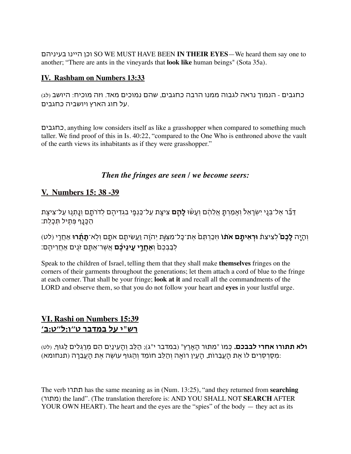בעיניהם היינו וכן SO WE MUST HAVE BEEN **IN THEIR EYES**—We heard them say one to another; "There are ants in the vineyards that **look like** human beings" (Sota 35a).

#### **IV. Rashbam on Numbers 13:33**

כחגבים - הנמוך נראה לגבוה ממנו הרבה כחגבים, שהם נמוכים מאד. וזה מוכיח: היושב (לג) .על חוג הארץ ויושביה כחגבים

כחגבים, anything low considers itself as like a grasshopper when compared to something much taller. We find proof of this in Is. 40:22, "compared to the One Who is enthroned above the vault of the earth views its inhabitants as if they were grasshopper."

#### *Then the fringes are seen / we become seers:*

### **V. Numbers 15: 38 -39**

דַבֵ֞ר אֶל־בְנֵ֤י יִשְראֵל֙ וְאָמַרתָ֣ אֲלֵהֶ֔ם וְעָש֨ו **לָהֶ֥ם** צִיצִ֛ת עַל־כַנְפֵ֥י בִגְדיהֶ֖ם לְדרתָ֑ם וְנָ֥תְנ֛ו עַל־צִיצִ֥ת הכּנֵף פּתִיל תִּכְלֶת:

וְהָיָ֣ה **לָכֶם֮** לְצִיצִת֒ **וראִיתֶ֣ם אֹת֗ו** וזְכַרתֶם֙ אֶת־כָל־מִצְ*וֹ֣*ת יְהוָ֔ה וַעֲשִיתֶ֖ם אֹתָ֑ם וְלֽא־**תָתֻ֜רו** אַחֲר֤י (לט) לְבַבְכֶם֙ וְ**אַחֲר֣י עֵֽינֵיכֶ֔ם** אֲשֶר־אַתֶ֥ם זֹנִ֖ים אַחֲריהֶֽם׃

Speak to the children of Israel, telling them that they shall make **themselves** fringes on the corners of their garments throughout the generations; let them attach a cord of blue to the fringe at each corner. That shall be your fringe; **look at it** and recall all the commandments of the LORD and observe them, so that you do not follow your heart and **eyes** in your lustful urge.

## **VI. Rashi on Numbers 15:39 רש"י על במדבר ט״ו:ל״ט:ב׳**

**ולא תתורו אחרי לבבכם.** כְמו "מִתור הָאָרץ" (במדבר י"ג); הַלֵב וְהָעֵינַיִם הֵם מְרגְלִים לַגוף, (לט) :מְסַרסְרים לו אֶת הָעֲבֵרות, הָעַיִן רואָה וְהַלֵב חומֵד וְהַגוף עושֶה אֶת הָעֲבֵרה (תנחומא)

The verb תתרו has the same meaning as in (Num. 13:25), "and they returned from **searching** (מתור (the land". (The translation therefore is: AND YOU SHALL NOT **SEARCH** AFTER YOUR OWN HEART). The heart and the eyes are the "spies" of the body — they act as its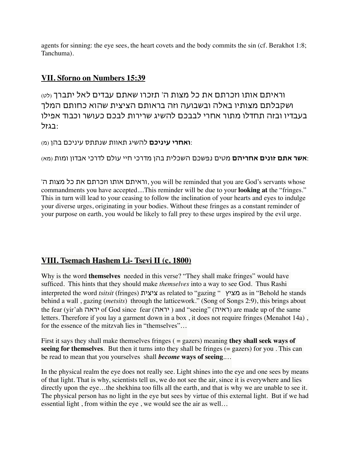agents for sinning: the eye sees, the heart covets and the body commits the sin (cf. Berakhot 1:8; Tanchuma).

## **VII. Sforno on Numbers 15:39**

וראיתם אותו וזכרתם את כל מצות ה' תזכרו שאתם עבדים לאל יתברך (לט) ושקבלתם מצותיו באלה ובשבועה וזה בראותם הציצית שהוא כחותם המלך בעבדיו ובזה תחדלו מתור אחרי לבבכם להשיג שרירות לבכם כעושר וכבוד אפילו :בגזל

:**ואחרי עיניכם** להשיג תאוות שנתתס עיניכם בהן (מ)

:**אשר אתם זונים אחריהם** מטים נפשכם השכלית בהן מדרכי חיי עולם לדרכי אבדון ומות (מא)

'ה מצות כל את וזכרתם אותו וראיתם, you will be reminded that you are God's servants whose commandments you have accepted....This reminder will be due to your **looking at** the "fringes." This in turn will lead to your ceasing to follow the inclination of your hearts and eyes to indulge your diverse urges, originating in your bodies. Without these fringes as a constant reminder of your purpose on earth, you would be likely to fall prey to these urges inspired by the evil urge.

# **VIII. Tsemach Hashem Li- Tsevi II (c. 1800)**

Why is the word **themselves** needed in this verse? "They shall make fringes" would have sufficed. This hints that they should make *themselves* into a way to see God. Thus Rashi interpreted the word *tsitsit* (fringes) ציצית as related to "gazing " מציץ as in "Behold he stands behind a wall , gazing (*metsits*) through the latticework." (Song of Songs 2:9), this brings about the fear (יראה of God since fear (יראה) and "seeing" (ראיה) are made up of the same letters. Therefore if you lay a garment down in a box, it does not require fringes (Menahot 14a), for the essence of the mitzvah lies in "themselves"…

First it says they shall make themselves fringes ( = gazers) meaning **they shall seek ways of seeing for themselves**. But then it turns into they shall be fringes  $(=$  gazers) for you. This can be read to mean that you yourselves shall *become* **ways of seeing**.…

In the physical realm the eye does not really see. Light shines into the eye and one sees by means of that light. That is why, scientists tell us, we do not see the air, since it is everywhere and lies directly upon the eye...the shekhina too fills all the earth, and that is why we are unable to see it. The physical person has no light in the eye but sees by virtue of this external light. But if we had essential light , from within the eye , we would see the air as well…